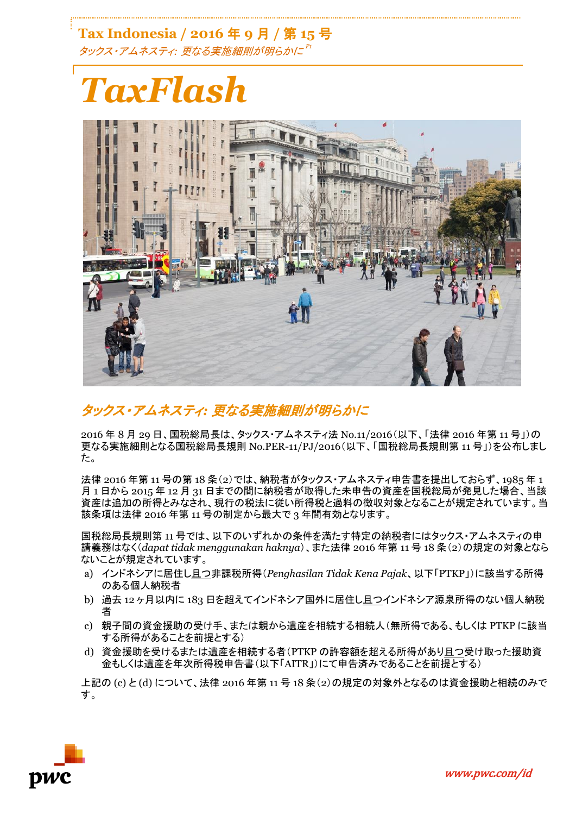**Tax Indonesia / 2016** 年 **9** 月 **/** 第 **15** 号 タックス・アムネスティ*:* 更なる実施細則が明らかに *P1*

# *TaxFlash*



## タックス・アムネスティ*:* 更なる実施細則が明らかに

2016 年 8 月 29 日、国税総局長は、タックス・アムネスティ法 No.11/2016(以下、「法律 2016 年第 11 号」)の 更なる実施細則となる国税総局長規則 No.PER-11/PJ/2016(以下、「国税総局長規則第 11 号」)を公布しまし た。

法律 2016 年第 11 号の第 18 条(2)では、納税者がタックス・アムネスティ申告書を提出しておらず、1985 年 1 月 1 日から 2015 年 12 月 31 日までの間に納税者が取得した未申告の資産を国税総局が発見した場合、当該 資産は追加の所得とみなされ、現行の税法に従い所得税と過料の徴収対象となることが規定されています。当 該条項は法律 2016 年第 11 号の制定から最大で 3 年間有効となります。

国税総局長規則第 11 号では、以下のいずれかの条件を満たす特定の納税者にはタックス・アムネスティの申 請義務はなく(*dapat tidak menggunakan haknya*)、また法律 2016 年第 11 号 18 条(2)の規定の対象となら ないことが規定されています。

- a) インドネシアに居住し且つ非課税所得(*Penghasilan Tidak Kena Pajak*、以下「PTKP」)に該当する所得 のある個人納税者
- b) 過去 12 ヶ月以内に 183 日を超えてインドネシア国外に居住し且つインドネシア源泉所得のない個人納税 者
- c) 親子間の資金援助の受け手、または親から遺産を相続する相続人(無所得である、もしくは PTKP に該当 する所得があることを前提とする)
- d) 資金援助を受けるまたは遺産を相続する者(PTKP の許容額を超える所得があり且つ受け取った援助資 金もしくは遺産を年次所得税申告書(以下「AITR」)にて申告済みであることを前提とする)

上記の (c) と (d) について、法律 2016 年第 11 号 18 条(2)の規定の対象外となるのは資金援助と相続のみで す。